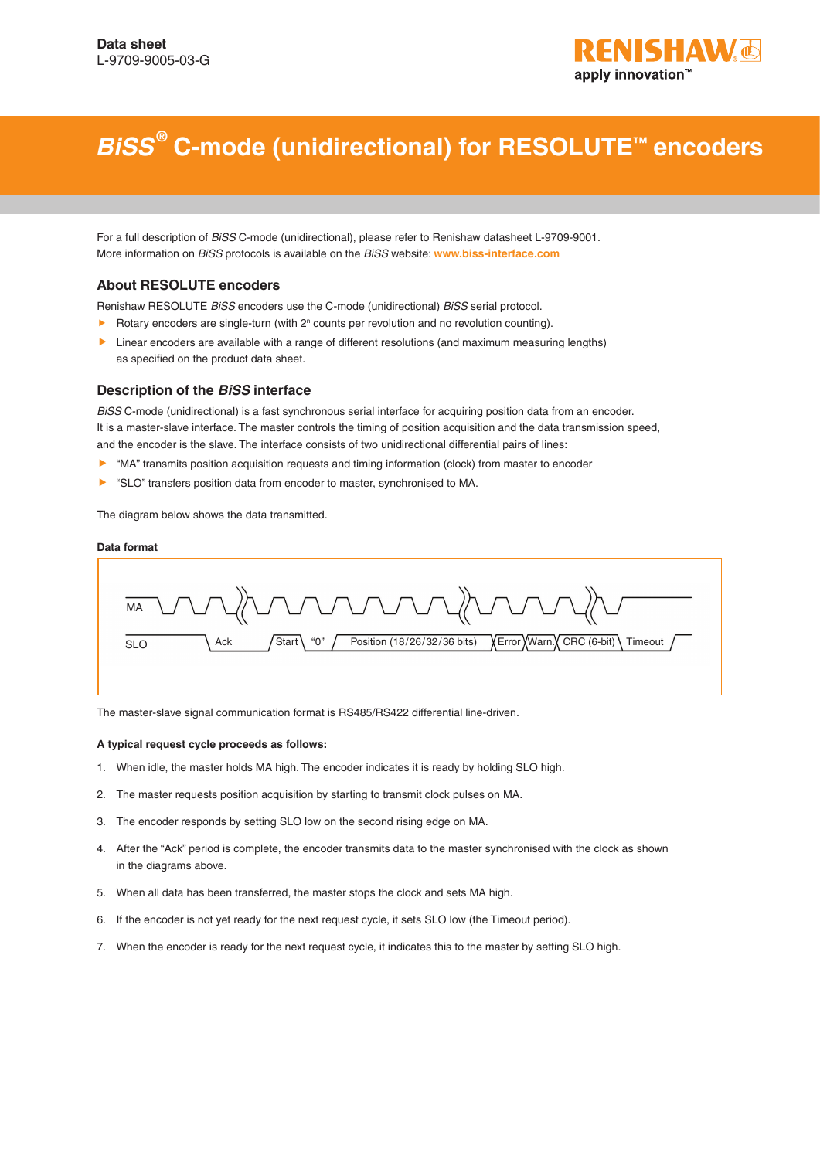

# *BiSS* **® C-mode (unidirectional) for RESOLUTE™ encoders**

For a full description of *BiSS* C-mode (unidirectional), please refer to Renishaw datasheet L-9709-9001. More information on *BiSS* protocols is available on the *BiSS* website: **[www.biss-interface.com](http://www.biss-interface.com)**

#### **About RESOLUTE encoders**

Renishaw RESOLUTE *BiSS* encoders use the C-mode (unidirectional) *BiSS* serial protocol.

- $\blacktriangleright$  Rotary encoders are single-turn (with  $2^n$  counts per revolution and no revolution counting).
- **Linear encoders are available with a range of different resolutions (and maximum measuring lengths)** as specified on the product data sheet.

#### **Description of the** *BiSS* **interface**

*BiSS* C-mode (unidirectional) is a fast synchronous serial interface for acquiring position data from an encoder. It is a master-slave interface. The master controls the timing of position acquisition and the data transmission speed, and the encoder is the slave. The interface consists of two unidirectional differential pairs of lines:

- ▶ "MA" transmits position acquisition requests and timing information (clock) from master to encoder
- ▶ "SLO" transfers position data from encoder to master, synchronised to MA.

The diagram below shows the data transmitted.

#### **Data format**



The master-slave signal communication format is RS485/RS422 differential line-driven.

#### **A typical request cycle proceeds as follows:**

- 1. When idle, the master holds MA high. The encoder indicates it is ready by holding SLO high.
- 2. The master requests position acquisition by starting to transmit clock pulses on MA.
- 3. The encoder responds by setting SLO low on the second rising edge on MA.
- 4. After the "Ack" period is complete, the encoder transmits data to the master synchronised with the clock as shown in the diagrams above.
- 5. When all data has been transferred, the master stops the clock and sets MA high.
- 6. If the encoder is not yet ready for the next request cycle, it sets SLO low (the Timeout period).
- 7. When the encoder is ready for the next request cycle, it indicates this to the master by setting SLO high.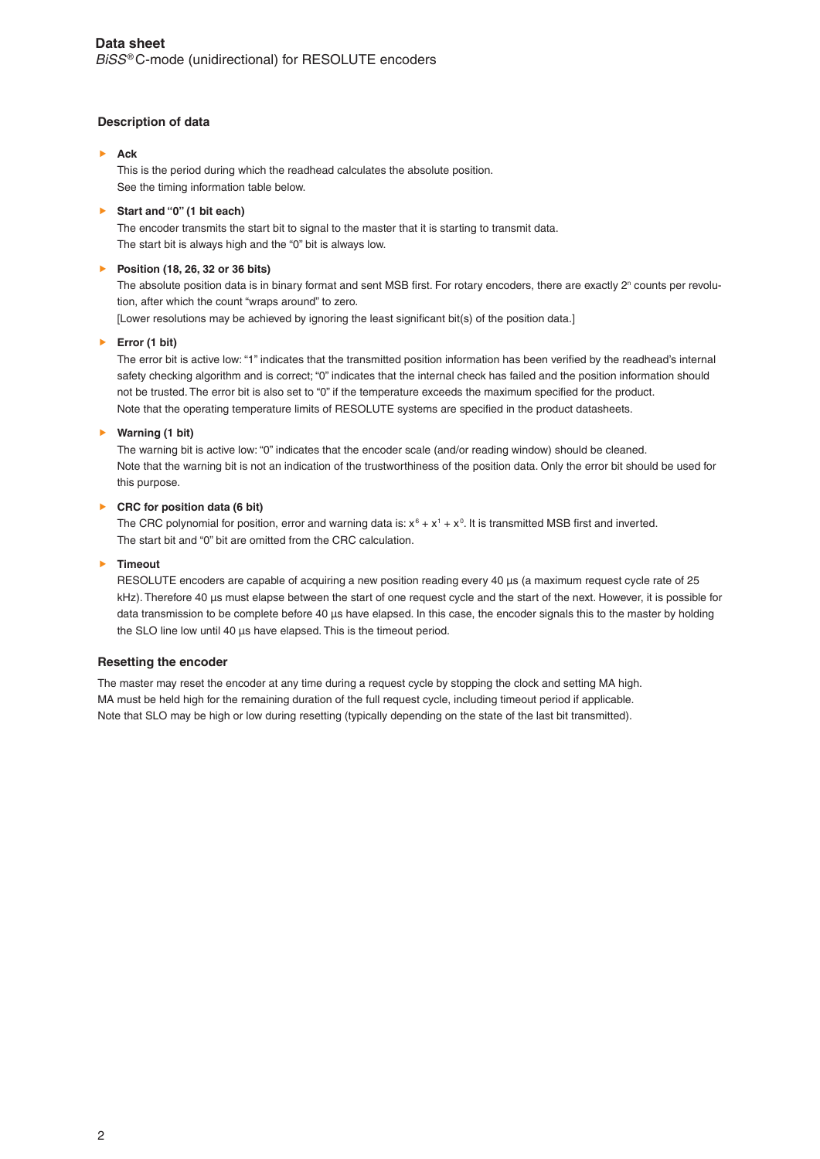## **Description of data**

#### **Ack**

This is the period during which the readhead calculates the absolute position. See the timing information table below.

#### **Start and "0" (1 bit each)**

The encoder transmits the start bit to signal to the master that it is starting to transmit data. The start bit is always high and the "0" bit is always low.

#### **Position (18, 26, 32 or 36 bits)**

The absolute position data is in binary format and sent MSB first. For rotary encoders, there are exactly 2<sup>n</sup> counts per revolution, after which the count "wraps around" to zero.

[Lower resolutions may be achieved by ignoring the least significant bit(s) of the position data.]

#### **Error (1 bit)**

The error bit is active low: "1" indicates that the transmitted position information has been verified by the readhead's internal safety checking algorithm and is correct; "0" indicates that the internal check has failed and the position information should not be trusted. The error bit is also set to "0" if the temperature exceeds the maximum specified for the product. Note that the operating temperature limits of RESOLUTE systems are specified in the product datasheets.

#### **Warning (1 bit)**

The warning bit is active low: "0" indicates that the encoder scale (and/or reading window) should be cleaned. Note that the warning bit is not an indication of the trustworthiness of the position data. Only the error bit should be used for this purpose.

## **CRC for position data (6 bit)**

The CRC polynomial for position, error and warning data is:  $x^6 + x^1 + x^0$ . It is transmitted MSB first and inverted. The start bit and "0" bit are omitted from the CRC calculation.

#### **Timeout**

RESOLUTE encoders are capable of acquiring a new position reading every 40 µs (a maximum request cycle rate of 25 kHz). Therefore 40 µs must elapse between the start of one request cycle and the start of the next. However, it is possible for data transmission to be complete before 40 µs have elapsed. In this case, the encoder signals this to the master by holding the SLO line low until 40 us have elapsed. This is the timeout period.

#### **Resetting the encoder**

The master may reset the encoder at any time during a request cycle by stopping the clock and setting MA high. MA must be held high for the remaining duration of the full request cycle, including timeout period if applicable. Note that SLO may be high or low during resetting (typically depending on the state of the last bit transmitted).